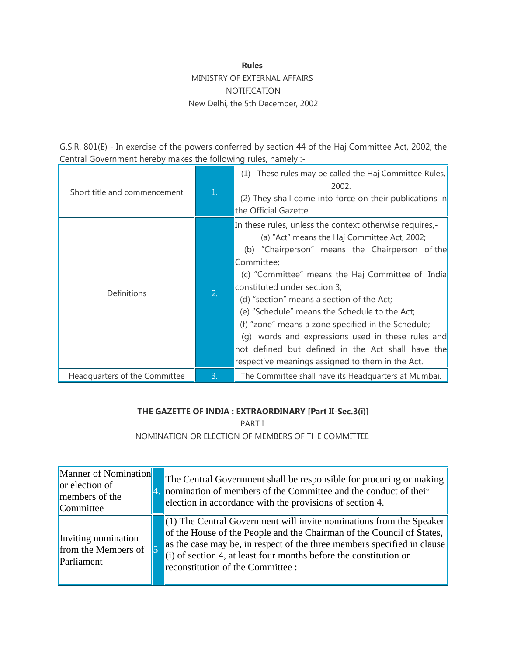### **Rules**

# MINISTRY OF EXTERNAL AFFAIRS NOTIFICATION New Delhi, the 5th December, 2002

G.S.R. 801(E) - In exercise of the powers conferred by section 44 of the Haj Committee Act, 2002, the Central Government hereby makes the following rules, namely :-

| Short title and commencement  | $\mathbf{1}$ . | These rules may be called the Haj Committee Rules,<br>(1)<br>2002.<br>(2) They shall come into force on their publications in<br>the Official Gazette.                                                                                                                                                                                                                                                                                                                                                                                                                        |
|-------------------------------|----------------|-------------------------------------------------------------------------------------------------------------------------------------------------------------------------------------------------------------------------------------------------------------------------------------------------------------------------------------------------------------------------------------------------------------------------------------------------------------------------------------------------------------------------------------------------------------------------------|
| Definitions                   | 2.             | In these rules, unless the context otherwise requires,-<br>(a) "Act" means the Haj Committee Act, 2002;<br>(b) "Chairperson" means the Chairperson of the<br>Committee;<br>(c) "Committee" means the Haj Committee of India<br>constituted under section 3;<br>(d) "section" means a section of the Act;<br>(e) "Schedule" means the Schedule to the Act;<br>(f) "zone" means a zone specified in the Schedule;<br>(q) words and expressions used in these rules and<br>not defined but defined in the Act shall have the<br>respective meanings assigned to them in the Act. |
| Headquarters of the Committee | 3.             | The Committee shall have its Headquarters at Mumbai.                                                                                                                                                                                                                                                                                                                                                                                                                                                                                                                          |

## **THE GAZETTE OF INDIA : EXTRAORDINARY [Part II-Sec.3(i)]**

PART I NOMINATION OR ELECTION OF MEMBERS OF THE COMMITTEE

| Manner of Nomination<br>$\alpha$ election of<br>members of the<br>Committee | The Central Government shall be responsible for procuring or making<br>4. nomination of members of the Committee and the conduct of their<br>election in accordance with the provisions of section 4.                                                                                                                                 |
|-----------------------------------------------------------------------------|---------------------------------------------------------------------------------------------------------------------------------------------------------------------------------------------------------------------------------------------------------------------------------------------------------------------------------------|
| Inviting nomination<br>from the Members of $\vert$ 5<br>Parliament          | $(1)$ The Central Government will invite nominations from the Speaker<br>of the House of the People and the Chairman of the Council of States,<br>as the case may be, in respect of the three members specified in clause<br>$(i)$ of section 4, at least four months before the constitution or<br>reconstitution of the Committee : |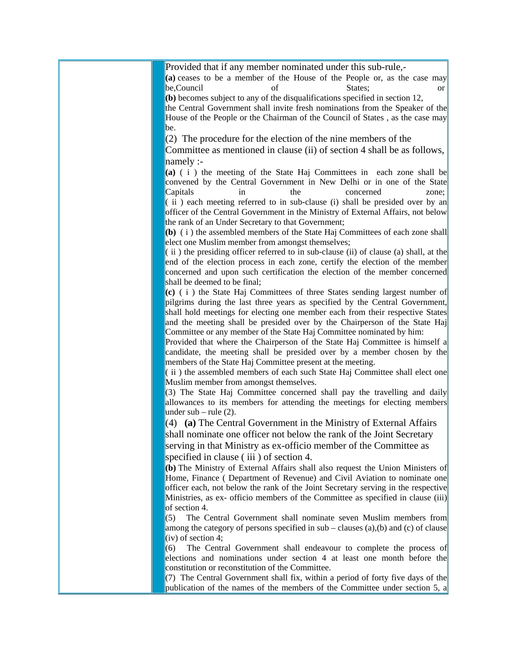Provided that if any member nominated under this sub-rule,-

**(a)** ceases to be a member of the House of the People or, as the case may be.Council of States: or

**(b)** becomes subject to any of the disqualifications specified in section 12, the Central Government shall invite fresh nominations from the Speaker of the House of the People or the Chairman of the Council of States , as the case may be.

 $(2)$  The procedure for the election of the nine members of the

Committee as mentioned in clause (ii) of section 4 shall be as follows, namely :-

**(a)** ( i ) the meeting of the State Haj Committees in each zone shall be convened by the Central Government in New Delhi or in one of the State Capitals in the concerned zone;  $(i)$  ii) each meeting referred to in sub-clause (i) shall be presided over by an officer of the Central Government in the Ministry of External Affairs, not below the rank of an Under Secretary to that Government;

**(b)** ( i ) the assembled members of the State Haj Committees of each zone shall elect one Muslim member from amongst themselves;

 $\|$  ii) the presiding officer referred to in sub-clause (ii) of clause (a) shall, at the end of the election process in each zone, certify the election of the member concerned and upon such certification the election of the member concerned shall be deemed to be final;

**(c)** ( i ) the State Haj Committees of three States sending largest number of pilgrims during the last three years as specified by the Central Government, shall hold meetings for electing one member each from their respective States and the meeting shall be presided over by the Chairperson of the State Haj Committee or any member of the State Haj Committee nominated by him:

Provided that where the Chairperson of the State Haj Committee is himself a candidate, the meeting shall be presided over by a member chosen by the members of the State Haj Committee present at the meeting.

 $(iii)$  the assembled members of each such State Haj Committee shall elect one Muslim member from amongst themselves.

(3) The State Haj Committee concerned shall pay the travelling and daily allowances to its members for attending the meetings for electing members under sub – rule (2).

(4) **(a)** The Central Government in the Ministry of External Affairs shall nominate one officer not below the rank of the Joint Secretary

serving in that Ministry as ex-officio member of the Committee as specified in clause (iii) of section 4.

**(b)** The Ministry of External Affairs shall also request the Union Ministers of Home, Finance ( Department of Revenue) and Civil Aviation to nominate one officer each, not below the rank of the Joint Secretary serving in the respective Ministries, as ex- officio members of the Committee as specified in clause (iii) of section 4.

(5) The Central Government shall nominate seven Muslim members from among the category of persons specified in sub – clauses (a),(b) and (c) of clause (iv) of section 4;

(6) The Central Government shall endeavour to complete the process of elections and nominations under section 4 at least one month before the constitution or reconstitution of the Committee.

(7) The Central Government shall fix, within a period of forty five days of the publication of the names of the members of the Committee under section 5, a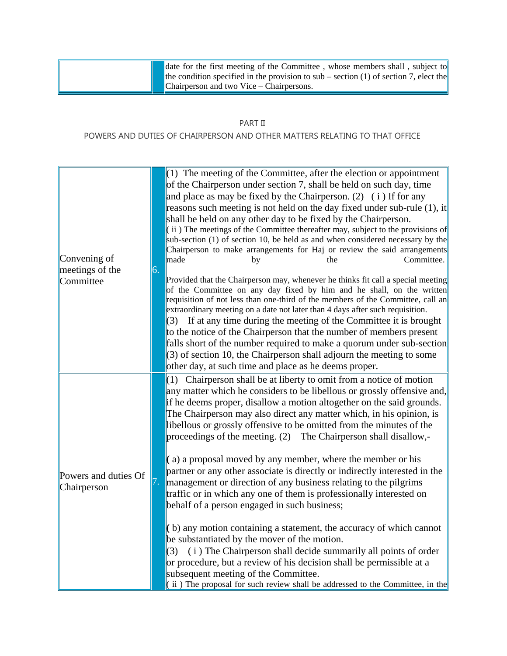date for the first meeting of the Committee , whose members shall , subject to the condition specified in the provision to sub – section (1) of section 7, elect the Chairperson and two Vice – Chairpersons.

### PART II

### POWERS AND DUTIES OF CHAIRPERSON AND OTHER MATTERS RELATING TO THAT OFFICE

| Convening of<br>meetings of the<br>Committee | 6. | $(1)$ The meeting of the Committee, after the election or appointment<br>of the Chairperson under section 7, shall be held on such day, time<br>and place as may be fixed by the Chairperson. (2) (i) If for any<br>reasons such meeting is not held on the day fixed under sub-rule $(1)$ , it<br>shall be held on any other day to be fixed by the Chairperson.<br>$(iii)$ The meetings of the Committee thereafter may, subject to the provisions of<br>sub-section (1) of section 10, be held as and when considered necessary by the<br>Chairperson to make arrangements for Haj or review the said arrangements<br>Committee.<br>made<br>by<br>the<br>Provided that the Chairperson may, whenever he thinks fit call a special meeting<br>of the Committee on any day fixed by him and he shall, on the written<br>requisition of not less than one-third of the members of the Committee, call an<br>extraordinary meeting on a date not later than 4 days after such requisition.<br>$(3)$ If at any time during the meeting of the Committee it is brought<br>to the notice of the Chairperson that the number of members present<br>falls short of the number required to make a quorum under sub-section<br>$(3)$ of section 10, the Chairperson shall adjourn the meeting to some<br>other day, at such time and place as he deems proper. |
|----------------------------------------------|----|--------------------------------------------------------------------------------------------------------------------------------------------------------------------------------------------------------------------------------------------------------------------------------------------------------------------------------------------------------------------------------------------------------------------------------------------------------------------------------------------------------------------------------------------------------------------------------------------------------------------------------------------------------------------------------------------------------------------------------------------------------------------------------------------------------------------------------------------------------------------------------------------------------------------------------------------------------------------------------------------------------------------------------------------------------------------------------------------------------------------------------------------------------------------------------------------------------------------------------------------------------------------------------------------------------------------------------------------------------|
| Powers and duties Of<br>Chairperson          |    | $(1)$ Chairperson shall be at liberty to omit from a notice of motion<br>any matter which he considers to be libellous or grossly offensive and,<br>if he deems proper, disallow a motion altogether on the said grounds.<br>The Chairperson may also direct any matter which, in his opinion, is<br>libellous or grossly offensive to be omitted from the minutes of the<br>proceedings of the meeting. (2) The Chairperson shall disallow,-<br>$(a)$ a proposal moved by any member, where the member or his<br>partner or any other associate is directly or indirectly interested in the<br>management or direction of any business relating to the pilgrims<br>traffic or in which any one of them is professionally interested on<br>behalf of a person engaged in such business;<br>$($ b) any motion containing a statement, the accuracy of which cannot<br>be substantiated by the mover of the motion.<br>(i) The Chairperson shall decide summarily all points of order<br>(3)<br>or procedure, but a review of his decision shall be permissible at a<br>subsequent meeting of the Committee.<br>$(iii)$ The proposal for such review shall be addressed to the Committee, in the                                                                                                                                                         |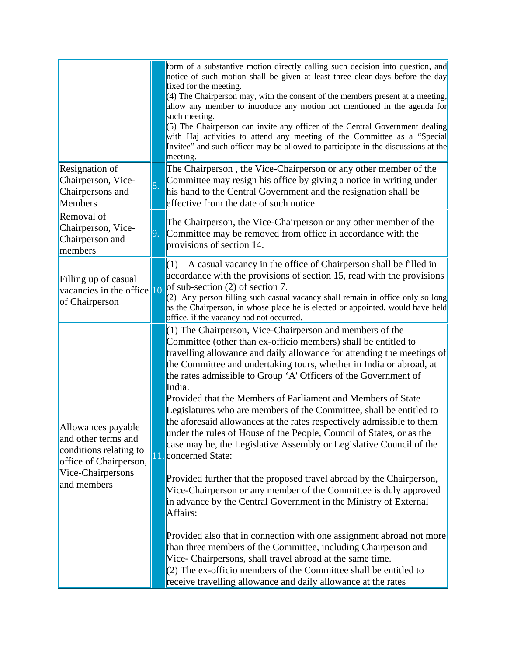|                                                                                                                                   |    | form of a substantive motion directly calling such decision into question, and<br>notice of such motion shall be given at least three clear days before the day<br>fixed for the meeting.<br>$(4)$ The Chairperson may, with the consent of the members present at a meeting,<br>allow any member to introduce any motion not mentioned in the agenda for<br>such meeting.<br>(5) The Chairperson can invite any officer of the Central Government dealing<br>with Haj activities to attend any meeting of the Committee as a "Special<br>Invitee" and such officer may be allowed to participate in the discussions at the<br>meeting.                                                                                                                                                                                                                                                                                                                                                                                                                                                                                                                                                                                                                                                                                 |
|-----------------------------------------------------------------------------------------------------------------------------------|----|-------------------------------------------------------------------------------------------------------------------------------------------------------------------------------------------------------------------------------------------------------------------------------------------------------------------------------------------------------------------------------------------------------------------------------------------------------------------------------------------------------------------------------------------------------------------------------------------------------------------------------------------------------------------------------------------------------------------------------------------------------------------------------------------------------------------------------------------------------------------------------------------------------------------------------------------------------------------------------------------------------------------------------------------------------------------------------------------------------------------------------------------------------------------------------------------------------------------------------------------------------------------------------------------------------------------------|
| Resignation of<br>Chairperson, Vice-<br>Chairpersons and<br>Members                                                               | 8. | The Chairperson, the Vice-Chairperson or any other member of the<br>Committee may resign his office by giving a notice in writing under<br>his hand to the Central Government and the resignation shall be<br>effective from the date of such notice.                                                                                                                                                                                                                                                                                                                                                                                                                                                                                                                                                                                                                                                                                                                                                                                                                                                                                                                                                                                                                                                                   |
| Removal of<br>Chairperson, Vice-<br>Chairperson and<br>members                                                                    | 9. | The Chairperson, the Vice-Chairperson or any other member of the<br>Committee may be removed from office in accordance with the<br>provisions of section 14.                                                                                                                                                                                                                                                                                                                                                                                                                                                                                                                                                                                                                                                                                                                                                                                                                                                                                                                                                                                                                                                                                                                                                            |
| Filling up of casual<br>vacancies in the office $\vert$ 10.<br>of Chairperson                                                     |    | A casual vacancy in the office of Chairperson shall be filled in<br>(1)<br>accordance with the provisions of section 15, read with the provisions<br>of sub-section $(2)$ of section 7.<br>(2) Any person filling such casual vacancy shall remain in office only so long<br>as the Chairperson, in whose place he is elected or appointed, would have held<br>office, if the vacancy had not occurred.                                                                                                                                                                                                                                                                                                                                                                                                                                                                                                                                                                                                                                                                                                                                                                                                                                                                                                                 |
| Allowances payable<br>and other terms and<br>conditions relating to<br>office of Chairperson,<br>Vice-Chairpersons<br>and members |    | (1) The Chairperson, Vice-Chairperson and members of the<br>Committee (other than ex-officio members) shall be entitled to<br>travelling allowance and daily allowance for attending the meetings of<br>the Committee and undertaking tours, whether in India or abroad, at<br>the rates admissible to Group 'A' Officers of the Government of<br>India.<br>Provided that the Members of Parliament and Members of State<br>Legislatures who are members of the Committee, shall be entitled to<br>the aforesaid allowances at the rates respectively admissible to them<br>under the rules of House of the People, Council of States, or as the<br>case may be, the Legislative Assembly or Legislative Council of the<br>11. concerned State:<br>Provided further that the proposed travel abroad by the Chairperson,<br>Vice-Chairperson or any member of the Committee is duly approved<br>in advance by the Central Government in the Ministry of External<br>Affairs:<br>Provided also that in connection with one assignment abroad not more<br>than three members of the Committee, including Chairperson and<br>Vice- Chairpersons, shall travel abroad at the same time.<br>(2) The ex-officio members of the Committee shall be entitled to<br>receive travelling allowance and daily allowance at the rates |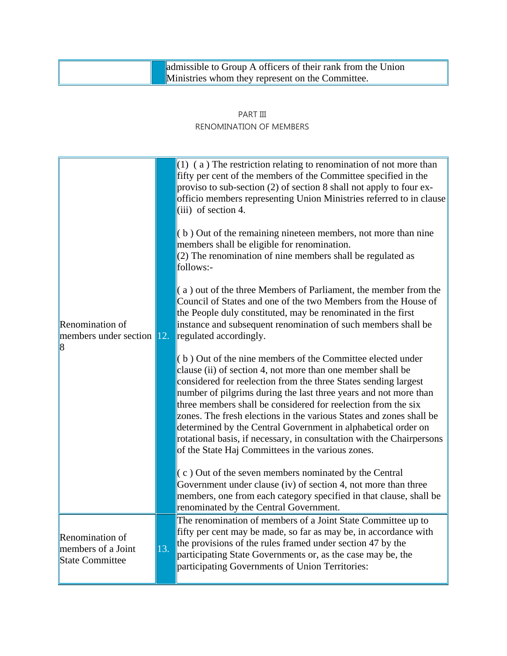|  | admissible to Group A officers of their rank from the Union |
|--|-------------------------------------------------------------|
|  | <b>Ministries whom they represent on the Committee.</b>     |

## PART III RENOMINATION OF MEMBERS

| Renomination of<br>members under section 12.<br> 8                     |     | $(1)$ (a) The restriction relating to renomination of not more than<br>fifty per cent of the members of the Committee specified in the<br>proviso to sub-section (2) of section 8 shall not apply to four ex-<br>officio members representing Union Ministries referred to in clause<br>$(iii)$ of section 4.<br>(b) Out of the remaining nineteen members, not more than nine<br>members shall be eligible for renomination.<br>(2) The renomination of nine members shall be regulated as<br>follows:-<br>(a) out of the three Members of Parliament, the member from the<br>Council of States and one of the two Members from the House of<br>the People duly constituted, may be renominated in the first<br>instance and subsequent renomination of such members shall be<br>regulated accordingly.<br>(b) Out of the nine members of the Committee elected under<br>clause (ii) of section 4, not more than one member shall be<br>considered for reelection from the three States sending largest<br>number of pilgrims during the last three years and not more than<br>three members shall be considered for reelection from the six<br>zones. The fresh elections in the various States and zones shall be<br>determined by the Central Government in alphabetical order on<br>rotational basis, if necessary, in consultation with the Chairpersons<br>of the State Haj Committees in the various zones.<br>$(c)$ Out of the seven members nominated by the Central<br>Government under clause (iv) of section 4, not more than three<br>members, one from each category specified in that clause, shall be<br>renominated by the Central Government. |
|------------------------------------------------------------------------|-----|------------------------------------------------------------------------------------------------------------------------------------------------------------------------------------------------------------------------------------------------------------------------------------------------------------------------------------------------------------------------------------------------------------------------------------------------------------------------------------------------------------------------------------------------------------------------------------------------------------------------------------------------------------------------------------------------------------------------------------------------------------------------------------------------------------------------------------------------------------------------------------------------------------------------------------------------------------------------------------------------------------------------------------------------------------------------------------------------------------------------------------------------------------------------------------------------------------------------------------------------------------------------------------------------------------------------------------------------------------------------------------------------------------------------------------------------------------------------------------------------------------------------------------------------------------------------------------------------------------------------------------------------------------------|
| <b>Renomination of</b><br>members of a Joint<br><b>State Committee</b> | 13. | The renomination of members of a Joint State Committee up to<br>fifty per cent may be made, so far as may be, in accordance with<br>the provisions of the rules framed under section 47 by the<br>participating State Governments or, as the case may be, the<br>participating Governments of Union Territories:                                                                                                                                                                                                                                                                                                                                                                                                                                                                                                                                                                                                                                                                                                                                                                                                                                                                                                                                                                                                                                                                                                                                                                                                                                                                                                                                                 |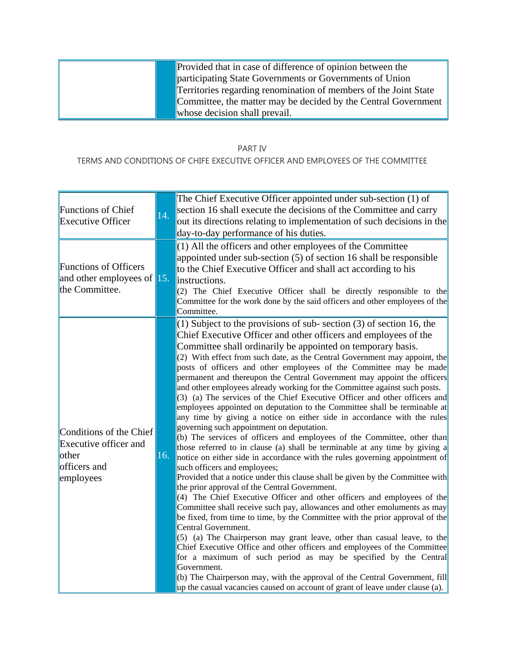|  | Provided that in case of difference of opinion between the       |
|--|------------------------------------------------------------------|
|  | participating State Governments or Governments of Union          |
|  | Territories regarding renomination of members of the Joint State |
|  | Committee, the matter may be decided by the Central Government   |
|  | whose decision shall prevail.                                    |

#### PART IV

## TERMS AND CONDITIONS OF CHIFE EXECUTIVE OFFICER AND EMPLOYEES OF THE COMMITTEE

| <b>Functions of Chief</b><br><b>Executive Officer</b><br><b>Functions of Officers</b><br>and other employees of $\vert$ 15.<br>the Committee. | 14. | The Chief Executive Officer appointed under sub-section (1) of<br>section 16 shall execute the decisions of the Committee and carry<br>out its directions relating to implementation of such decisions in the<br>day-to-day performance of his duties.<br>(1) All the officers and other employees of the Committee<br>appointed under sub-section (5) of section 16 shall be responsible<br>to the Chief Executive Officer and shall act according to his<br>instructions.<br>(2) The Chief Executive Officer shall be directly responsible to the                                                                                                                                                                                                                                                                                                                                                                                                                                                                                                                                                                                                                                                                                                                                                                                                                                                                                                                                                                                                                                                                                                                                                                                                                                                                 |
|-----------------------------------------------------------------------------------------------------------------------------------------------|-----|---------------------------------------------------------------------------------------------------------------------------------------------------------------------------------------------------------------------------------------------------------------------------------------------------------------------------------------------------------------------------------------------------------------------------------------------------------------------------------------------------------------------------------------------------------------------------------------------------------------------------------------------------------------------------------------------------------------------------------------------------------------------------------------------------------------------------------------------------------------------------------------------------------------------------------------------------------------------------------------------------------------------------------------------------------------------------------------------------------------------------------------------------------------------------------------------------------------------------------------------------------------------------------------------------------------------------------------------------------------------------------------------------------------------------------------------------------------------------------------------------------------------------------------------------------------------------------------------------------------------------------------------------------------------------------------------------------------------------------------------------------------------------------------------------------------------|
|                                                                                                                                               |     | Committee for the work done by the said officers and other employees of the<br>Committee.<br>$(1)$ Subject to the provisions of sub-section $(3)$ of section 16, the                                                                                                                                                                                                                                                                                                                                                                                                                                                                                                                                                                                                                                                                                                                                                                                                                                                                                                                                                                                                                                                                                                                                                                                                                                                                                                                                                                                                                                                                                                                                                                                                                                                |
| Conditions of the Chief<br>Executive officer and<br>lother<br>officers and<br>employees                                                       | 16. | Chief Executive Officer and other officers and employees of the<br>Committee shall ordinarily be appointed on temporary basis.<br>(2) With effect from such date, as the Central Government may appoint, the<br>posts of officers and other employees of the Committee may be made<br>permanent and thereupon the Central Government may appoint the officers<br>and other employees already working for the Committee against such posts.<br>(3) (a) The services of the Chief Executive Officer and other officers and<br>employees appointed on deputation to the Committee shall be terminable at<br>any time by giving a notice on either side in accordance with the rules<br>governing such appointment on deputation.<br>(b) The services of officers and employees of the Committee, other than<br>those referred to in clause (a) shall be terminable at any time by giving a<br>notice on either side in accordance with the rules governing appointment of<br>such officers and employees;<br>Provided that a notice under this clause shall be given by the Committee with<br>the prior approval of the Central Government.<br>(4) The Chief Executive Officer and other officers and employees of the<br>Committee shall receive such pay, allowances and other emoluments as may<br>be fixed, from time to time, by the Committee with the prior approval of the<br>Central Government.<br>$(5)$ (a) The Chairperson may grant leave, other than casual leave, to the<br>Chief Executive Office and other officers and employees of the Committee<br>for a maximum of such period as may be specified by the Central<br>Government.<br>(b) The Chairperson may, with the approval of the Central Government, $fill$<br>up the casual vacancies caused on account of grant of leave under clause (a). |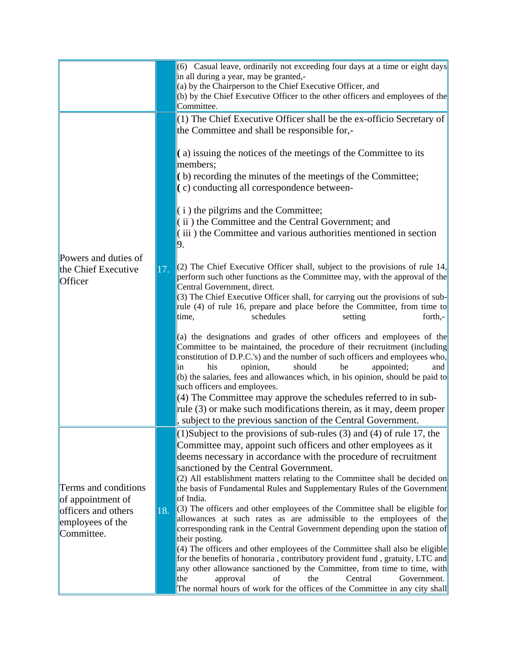|                                                                                                    |     | (6) Casual leave, ordinarily not exceeding four days at a time or eight days<br>in all during a year, may be granted,-<br>(a) by the Chairperson to the Chief Executive Officer, and<br>(b) by the Chief Executive Officer to the other officers and employees of the<br>Committee.                                                                                                                                                                                                                                                                                                                                                                                                                                                                                                                                                                                                                                                                                                                                                                                                                                                                                                                                                                                                                                                                                                                                                                                        |
|----------------------------------------------------------------------------------------------------|-----|----------------------------------------------------------------------------------------------------------------------------------------------------------------------------------------------------------------------------------------------------------------------------------------------------------------------------------------------------------------------------------------------------------------------------------------------------------------------------------------------------------------------------------------------------------------------------------------------------------------------------------------------------------------------------------------------------------------------------------------------------------------------------------------------------------------------------------------------------------------------------------------------------------------------------------------------------------------------------------------------------------------------------------------------------------------------------------------------------------------------------------------------------------------------------------------------------------------------------------------------------------------------------------------------------------------------------------------------------------------------------------------------------------------------------------------------------------------------------|
| Powers and duties of<br>the Chief Executive<br>Officer                                             | 17. | (1) The Chief Executive Officer shall be the ex-officio Secretary of<br>the Committee and shall be responsible for,-<br>$(a)$ issuing the notices of the meetings of the Committee to its<br>members;<br>$($ b) recording the minutes of the meetings of the Committee;<br>(c) conducting all correspondence between-<br>$(i)$ the pilgrims and the Committee;<br>(ii) the Committee and the Central Government; and<br>(iii) the Committee and various authorities mentioned in section<br>9.<br>$(2)$ The Chief Executive Officer shall, subject to the provisions of rule 14,<br>perform such other functions as the Committee may, with the approval of the<br>Central Government, direct.<br>(3) The Chief Executive Officer shall, for carrying out the provisions of sub-<br>rule (4) of rule 16, prepare and place before the Committee, from time to<br>schedules<br>setting<br>forth,-<br>time,<br>(a) the designations and grades of other officers and employees of the<br>Committee to be maintained, the procedure of their recruitment (including<br>constitution of D.P.C.'s) and the number of such officers and employees who,<br>his<br>opinion,<br>should<br>be<br>appointed;<br>and<br>in<br>(b) the salaries, fees and allowances which, in his opinion, should be paid to<br>such officers and employees.<br>(4) The Committee may approve the schedules referred to in sub-<br>rule (3) or make such modifications therein, as it may, deem proper |
|                                                                                                    |     | subject to the previous sanction of the Central Government.<br>$(1)$ Subject to the provisions of sub-rules $(3)$ and $(4)$ of rule 17, the                                                                                                                                                                                                                                                                                                                                                                                                                                                                                                                                                                                                                                                                                                                                                                                                                                                                                                                                                                                                                                                                                                                                                                                                                                                                                                                                |
| Terms and conditions<br>of appointment of<br>officers and others<br>employees of the<br>Committee. | 18. | Committee may, appoint such officers and other employees as it<br>deems necessary in accordance with the procedure of recruitment<br>sanctioned by the Central Government.<br>(2) All establishment matters relating to the Committee shall be decided on<br>the basis of Fundamental Rules and Supplementary Rules of the Government<br>of India.<br>$\parallel$ (3) The officers and other employees of the Committee shall be eligible for<br>allowances at such rates as are admissible to the employees of the<br>corresponding rank in the Central Government depending upon the station of<br>their posting.<br>(4) The officers and other employees of the Committee shall also be eligible<br>for the benefits of honoraria, contributory provident fund, gratuity, LTC and<br>any other allowance sanctioned by the Committee, from time to time, with<br>the<br>of<br>the<br>Central<br>Government.<br>approval<br>The normal hours of work for the offices of the Committee in any city shall                                                                                                                                                                                                                                                                                                                                                                                                                                                                  |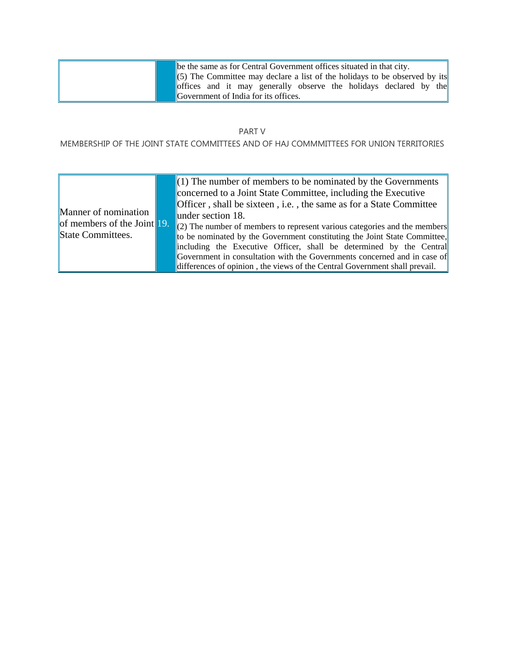|  | be the same as for Central Government offices situated in that city.       |
|--|----------------------------------------------------------------------------|
|  | (5) The Committee may declare a list of the holidays to be observed by its |
|  | offices and it may generally observe the holidays declared by the          |
|  | <b>Covernment of India for its offices.</b>                                |

## PART V

## MEMBERSHIP OF THE JOINT STATE COMMITTEES AND OF HAJ COMMMITTEES FOR UNION TERRITORIES

| Manner of nomination<br>of members of the Joint 19.<br>State Committees. |  | $(1)$ The number of members to be nominated by the Governments<br>concerned to a Joint State Committee, including the Executive<br>Officer, shall be sixteen, i.e., the same as for a State Committee<br>$\mu$ lunder section 18.<br>$(2)$ The number of members to represent various categories and the members<br>to be nominated by the Government constituting the Joint State Committee,<br>including the Executive Officer, shall be determined by the Central<br>Government in consultation with the Governments concerned and in case of<br>differences of opinion, the views of the Central Government shall prevail. |
|--------------------------------------------------------------------------|--|--------------------------------------------------------------------------------------------------------------------------------------------------------------------------------------------------------------------------------------------------------------------------------------------------------------------------------------------------------------------------------------------------------------------------------------------------------------------------------------------------------------------------------------------------------------------------------------------------------------------------------|
|--------------------------------------------------------------------------|--|--------------------------------------------------------------------------------------------------------------------------------------------------------------------------------------------------------------------------------------------------------------------------------------------------------------------------------------------------------------------------------------------------------------------------------------------------------------------------------------------------------------------------------------------------------------------------------------------------------------------------------|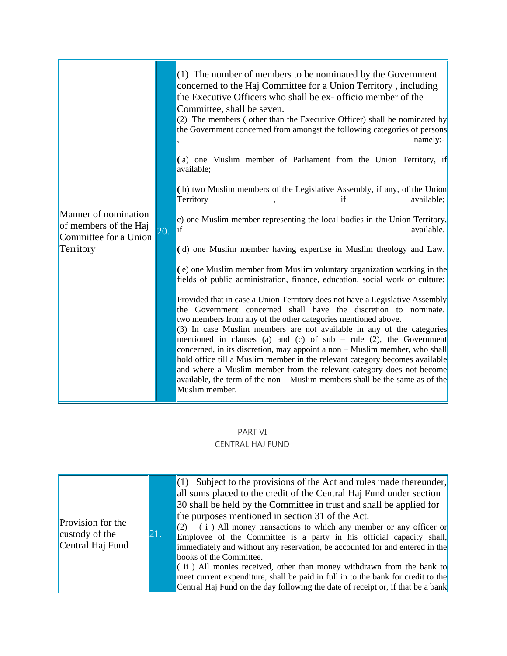|                                                                        |     | $(1)$ The number of members to be nominated by the Government<br>concerned to the Haj Committee for a Union Territory, including<br>the Executive Officers who shall be ex- officio member of the<br>Committee, shall be seven.<br>(2) The members (other than the Executive Officer) shall be nominated by<br>the Government concerned from amongst the following categories of persons<br>namely:-                                                                                                                                                                                                                                                                                  |
|------------------------------------------------------------------------|-----|---------------------------------------------------------------------------------------------------------------------------------------------------------------------------------------------------------------------------------------------------------------------------------------------------------------------------------------------------------------------------------------------------------------------------------------------------------------------------------------------------------------------------------------------------------------------------------------------------------------------------------------------------------------------------------------|
|                                                                        |     | (a) one Muslim member of Parliament from the Union Territory, if<br>available;                                                                                                                                                                                                                                                                                                                                                                                                                                                                                                                                                                                                        |
|                                                                        |     | (b) two Muslim members of the Legislative Assembly, if any, of the Union<br>Territory<br>available;<br>if                                                                                                                                                                                                                                                                                                                                                                                                                                                                                                                                                                             |
| Manner of nomination<br>of members of the Haj<br>Committee for a Union | 20. | c) one Muslim member representing the local bodies in the Union Territory,<br>եք<br>available.                                                                                                                                                                                                                                                                                                                                                                                                                                                                                                                                                                                        |
| Territory                                                              |     | (d) one Muslim member having expertise in Muslim theology and Law.                                                                                                                                                                                                                                                                                                                                                                                                                                                                                                                                                                                                                    |
|                                                                        |     | (e) one Muslim member from Muslim voluntary organization working in the<br>fields of public administration, finance, education, social work or culture:                                                                                                                                                                                                                                                                                                                                                                                                                                                                                                                               |
|                                                                        |     | Provided that in case a Union Territory does not have a Legislative Assembly<br>the Government concerned shall have the discretion to nominate.<br>two members from any of the other categories mentioned above.<br>(3) In case Muslim members are not available in any of the categories<br>mentioned in clauses (a) and (c) of $sub$ – rule (2), the Government<br>concerned, in its discretion, may appoint a non – Muslim member, who shall<br>hold office till a Muslim member in the relevant category becomes available<br>and where a Muslim member from the relevant category does not become<br>available, the term of the non – Muslim members shall be the same as of the |
|                                                                        |     | Muslim member.                                                                                                                                                                                                                                                                                                                                                                                                                                                                                                                                                                                                                                                                        |

## PART VI

## CENTRAL HAJ FUND

| <b>Provision</b> for the<br>custody of the<br>Central Haj Fund | 21. | $\ $ (1) Subject to the provisions of the Act and rules made thereunder,<br>all sums placed to the credit of the Central Haj Fund under section<br>30 shall be held by the Committee in trust and shall be applied for<br>the purposes mentioned in section 31 of the Act.<br>$\ $ (2) (i) All money transactions to which any member or any officer or<br>Employee of the Committee is a party in his official capacity shall,<br>immediately and without any reservation, be accounted for and entered in the<br>books of the Committee.<br>$\ $ (ii) All monies received, other than money withdrawn from the bank to<br>meet current expenditure, shall be paid in full in to the bank for credit to the<br>Central Haj Fund on the day following the date of receipt or, if that be a bank |
|----------------------------------------------------------------|-----|-------------------------------------------------------------------------------------------------------------------------------------------------------------------------------------------------------------------------------------------------------------------------------------------------------------------------------------------------------------------------------------------------------------------------------------------------------------------------------------------------------------------------------------------------------------------------------------------------------------------------------------------------------------------------------------------------------------------------------------------------------------------------------------------------|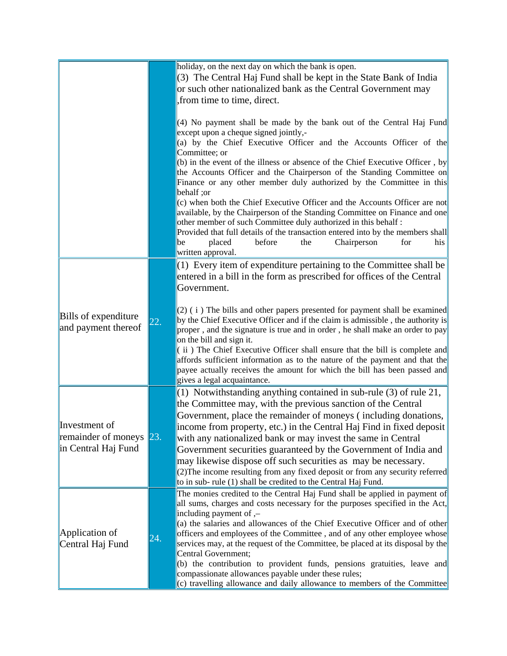|                                                                 |     | holiday, on the next day on which the bank is open.<br>(3) The Central Haj Fund shall be kept in the State Bank of India<br>or such other nationalized bank as the Central Government may<br>from time to time, direct.<br>(4) No payment shall be made by the bank out of the Central Haj Fund<br>except upon a cheque signed jointly,-<br>(a) by the Chief Executive Officer and the Accounts Officer of the<br>Committee; or<br>(b) in the event of the illness or absence of the Chief Executive Officer, by<br>the Accounts Officer and the Chairperson of the Standing Committee on<br>Finance or any other member duly authorized by the Committee in this<br>behalf; or<br>(c) when both the Chief Executive Officer and the Accounts Officer are not<br>available, by the Chairperson of the Standing Committee on Finance and one<br>other member of such Committee duly authorized in this behalf:<br>Provided that full details of the transaction entered into by the members shall<br>placed<br>before<br>Chairperson<br>for<br>his<br>the<br>be<br>written approval. |
|-----------------------------------------------------------------|-----|-------------------------------------------------------------------------------------------------------------------------------------------------------------------------------------------------------------------------------------------------------------------------------------------------------------------------------------------------------------------------------------------------------------------------------------------------------------------------------------------------------------------------------------------------------------------------------------------------------------------------------------------------------------------------------------------------------------------------------------------------------------------------------------------------------------------------------------------------------------------------------------------------------------------------------------------------------------------------------------------------------------------------------------------------------------------------------------|
| <b>Bills</b> of expenditure<br>and payment thereof              | 22. | (1) Every item of expenditure pertaining to the Committee shall be<br>entered in a bill in the form as prescribed for offices of the Central<br>Government.<br>(2) (i) The bills and other papers presented for payment shall be examined<br>by the Chief Executive Officer and if the claim is admissible, the authority is<br>proper, and the signature is true and in order, he shall make an order to pay<br>on the bill and sign it.<br>(ii) The Chief Executive Officer shall ensure that the bill is complete and<br>affords sufficient information as to the nature of the payment and that the<br>payee actually receives the amount for which the bill has been passed and<br>gives a legal acquaintance.                                                                                                                                                                                                                                                                                                                                                                 |
| Investment of<br>remainder of moneys 23.<br>in Central Haj Fund |     | (1) Notwithstanding anything contained in sub-rule (3) of rule 21,<br>the Committee may, with the previous sanction of the Central<br>Government, place the remainder of moneys (including donations,<br>income from property, etc.) in the Central Haj Find in fixed deposit<br>with any nationalized bank or may invest the same in Central<br>Government securities guaranteed by the Government of India and<br>may likewise dispose off such securities as may be necessary.<br>(2) The income resulting from any fixed deposit or from any security referred<br>to in sub-rule (1) shall be credited to the Central Haj Fund.                                                                                                                                                                                                                                                                                                                                                                                                                                                 |
| Application of<br>Central Haj Fund                              | 24. | The monies credited to the Central Haj Fund shall be applied in payment of<br>all sums, charges and costs necessary for the purposes specified in the Act,<br>including payment of $,$<br>(a) the salaries and allowances of the Chief Executive Officer and of other<br>officers and employees of the Committee, and of any other employee whose<br>services may, at the request of the Committee, be placed at its disposal by the<br>Central Government;<br>(b) the contribution to provident funds, pensions gratuities, leave and<br>compassionate allowances payable under these rules;<br>(c) travelling allowance and daily allowance to members of the Committee                                                                                                                                                                                                                                                                                                                                                                                                           |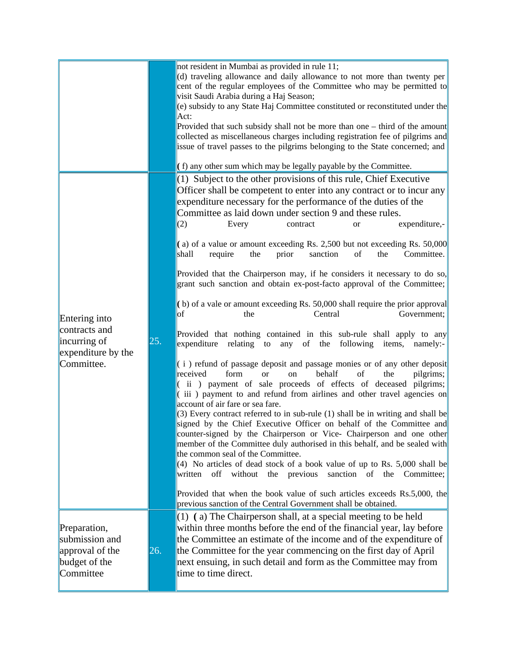|                                                                                    |     | not resident in Mumbai as provided in rule 11;<br>(d) traveling allowance and daily allowance to not more than twenty per<br>cent of the regular employees of the Committee who may be permitted to<br>visit Saudi Arabia during a Haj Season;<br>(e) subsidy to any State Haj Committee constituted or reconstituted under the<br>Act:<br>Provided that such subsidy shall not be more than one – third of the amount<br>collected as miscellaneous charges including registration fee of pilgrims and<br>issue of travel passes to the pilgrims belonging to the State concerned; and<br>(f) any other sum which may be legally payable by the Committee.                                                                                                                                                                                                                                                                                                                                                                                                                                                                                                                                                                                                                                                                                                                                                                                                                                                                                                                                                                                                                                                                                                                                                                                                                                                                                |
|------------------------------------------------------------------------------------|-----|--------------------------------------------------------------------------------------------------------------------------------------------------------------------------------------------------------------------------------------------------------------------------------------------------------------------------------------------------------------------------------------------------------------------------------------------------------------------------------------------------------------------------------------------------------------------------------------------------------------------------------------------------------------------------------------------------------------------------------------------------------------------------------------------------------------------------------------------------------------------------------------------------------------------------------------------------------------------------------------------------------------------------------------------------------------------------------------------------------------------------------------------------------------------------------------------------------------------------------------------------------------------------------------------------------------------------------------------------------------------------------------------------------------------------------------------------------------------------------------------------------------------------------------------------------------------------------------------------------------------------------------------------------------------------------------------------------------------------------------------------------------------------------------------------------------------------------------------------------------------------------------------------------------------------------------------|
| Entering into<br>contracts and<br>incurring of<br>expenditure by the<br>Committee. | 25. | $(1)$ Subject to the other provisions of this rule, Chief Executive<br>Officer shall be competent to enter into any contract or to incur any<br>expenditure necessary for the performance of the duties of the<br>Committee as laid down under section 9 and these rules.<br>expenditure,-<br>(2)<br>Every<br>contract<br><sub>or</sub><br>(a) of a value or amount exceeding Rs. 2,500 but not exceeding Rs. 50,000<br>shall<br>require<br>the<br>prior<br>sanction<br>of<br>the<br>Committee.<br>Provided that the Chairperson may, if he considers it necessary to do so,<br>grant such sanction and obtain ex-post-facto approval of the Committee;<br>(b) of a vale or amount exceeding Rs. 50,000 shall require the prior approval<br>Central<br>lof<br>the<br>Government;<br>Provided that nothing contained in this sub-rule shall apply to any<br>expenditure relating to<br>any of<br>following items,<br>the<br>namely:-<br>(i) refund of passage deposit and passage monies or of any other deposit<br>received<br>form<br>behalf<br>of<br>the<br>pilgrims;<br><sub>or</sub><br>on<br>ii) payment of sale proceeds of effects of deceased pilgrims;<br>(iii) payment to and refund from airlines and other travel agencies on<br>account of air fare or sea fare.<br>$(3)$ Every contract referred to in sub-rule (1) shall be in writing and shall be<br>signed by the Chief Executive Officer on behalf of the Committee and<br>counter-signed by the Chairperson or Vice- Chairperson and one other<br>member of the Committee duly authorised in this behalf, and be sealed with<br>the common seal of the Committee.<br>$(4)$ No articles of dead stock of a book value of up to Rs. 5,000 shall be<br>without the previous<br>written<br>off<br>sanction of the Committee;<br>Provided that when the book value of such articles exceeds Rs.5,000, the<br>previous sanction of the Central Government shall be obtained. |
| Preparation,<br>submission and<br>approval of the<br>budget of the<br>Committee    | 26. | (1) (a) The Chairperson shall, at a special meeting to be held<br>within three months before the end of the financial year, lay before<br>the Committee an estimate of the income and of the expenditure of<br>the Committee for the year commencing on the first day of April<br>next ensuing, in such detail and form as the Committee may from<br>time to time direct.                                                                                                                                                                                                                                                                                                                                                                                                                                                                                                                                                                                                                                                                                                                                                                                                                                                                                                                                                                                                                                                                                                                                                                                                                                                                                                                                                                                                                                                                                                                                                                  |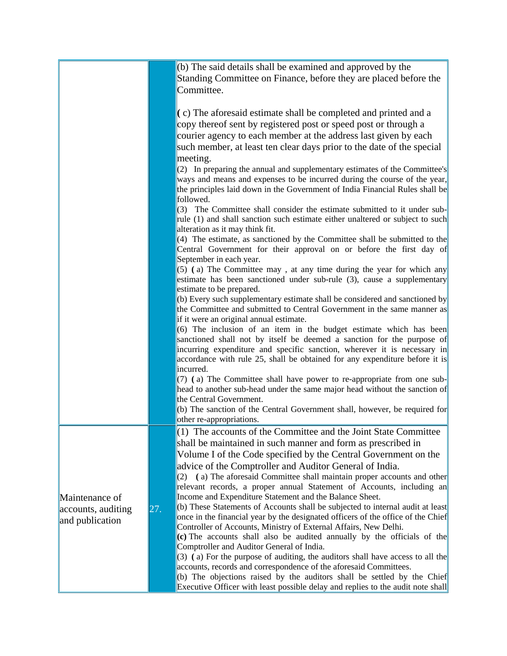|                    |     | (b) The said details shall be examined and approved by the<br>Standing Committee on Finance, before they are placed before the                                                                                                                                                                                       |
|--------------------|-----|----------------------------------------------------------------------------------------------------------------------------------------------------------------------------------------------------------------------------------------------------------------------------------------------------------------------|
|                    |     | Committee.                                                                                                                                                                                                                                                                                                           |
|                    |     | (c) The aforesaid estimate shall be completed and printed and a<br>copy thereof sent by registered post or speed post or through a<br>courier agency to each member at the address last given by each<br>such member, at least ten clear days prior to the date of the special                                       |
|                    |     | meeting.<br>(2) In preparing the annual and supplementary estimates of the Committee's<br>ways and means and expenses to be incurred during the course of the year,<br>the principles laid down in the Government of India Financial Rules shall be<br>followed.                                                     |
|                    |     | (3) The Committee shall consider the estimate submitted to it under sub-<br>rule (1) and shall sanction such estimate either unaltered or subject to such<br>alteration as it may think fit.                                                                                                                         |
|                    |     | $(4)$ The estimate, as sanctioned by the Committee shall be submitted to the<br>Central Government for their approval on or before the first day of<br>September in each year.                                                                                                                                       |
|                    |     | $(5)$ (a) The Committee may, at any time during the year for which any<br>estimate has been sanctioned under sub-rule (3), cause a supplementary<br>estimate to be prepared.                                                                                                                                         |
|                    |     | (b) Every such supplementary estimate shall be considered and sanctioned by<br>the Committee and submitted to Central Government in the same manner as<br>if it were an original annual estimate.                                                                                                                    |
|                    |     | (6) The inclusion of an item in the budget estimate which has been<br>sanctioned shall not by itself be deemed a sanction for the purpose of<br>incurring expenditure and specific sanction, wherever it is necessary in<br>accordance with rule 25, shall be obtained for any expenditure before it is<br>incurred. |
|                    |     | $(7)$ (a) The Committee shall have power to re-appropriate from one sub-<br>head to another sub-head under the same major head without the sanction of<br>the Central Government.                                                                                                                                    |
|                    |     | (b) The sanction of the Central Government shall, however, be required for<br>other re-appropriations.                                                                                                                                                                                                               |
|                    |     | (1) The accounts of the Committee and the Joint State Committee<br>shall be maintained in such manner and form as prescribed in                                                                                                                                                                                      |
|                    |     | Volume I of the Code specified by the Central Government on the<br>advice of the Comptroller and Auditor General of India.<br>$(2)$ (a) The aforesaid Committee shall maintain proper accounts and other<br>relevant records, a proper annual Statement of Accounts, including an                                    |
| Maintenance of     |     | Income and Expenditure Statement and the Balance Sheet.                                                                                                                                                                                                                                                              |
| accounts, auditing | 27. | (b) These Statements of Accounts shall be subjected to internal audit at least                                                                                                                                                                                                                                       |
| and publication    |     | once in the financial year by the designated officers of the office of the Chief<br>Controller of Accounts, Ministry of External Affairs, New Delhi.                                                                                                                                                                 |
|                    |     | (c) The accounts shall also be audited annually by the officials of the                                                                                                                                                                                                                                              |
|                    |     | Comptroller and Auditor General of India.<br>(3) (a) For the purpose of auditing, the auditors shall have access to all the                                                                                                                                                                                          |
|                    |     | accounts, records and correspondence of the aforesaid Committees.                                                                                                                                                                                                                                                    |
|                    |     | (b) The objections raised by the auditors shall be settled by the Chief<br>Executive Officer with least possible delay and replies to the audit note shall                                                                                                                                                           |
|                    |     |                                                                                                                                                                                                                                                                                                                      |